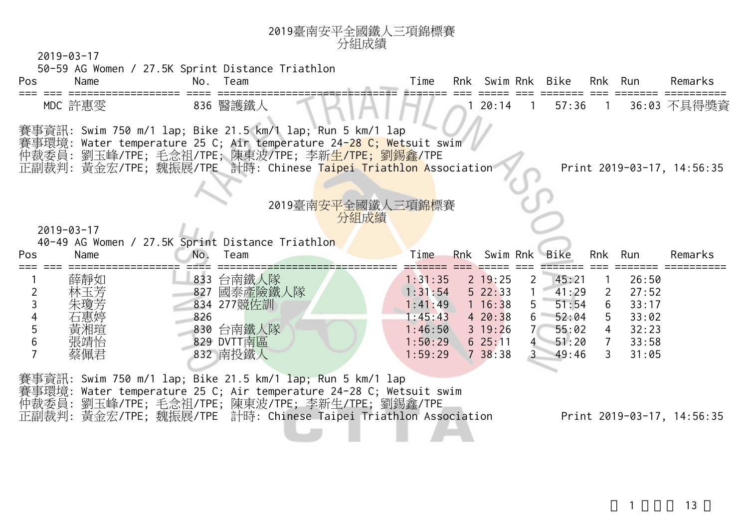| 賽事資訊: Swim 750 m/1 lap; Bike 21.5 km/1 lap; Run 5 km/1 lap<br>賽事環境: Water temperature 25 C; Air temperature 24 <mark>-28 C; Wet</mark> suit swim<br>仲裁委員: 劉玉峰/TPE; 毛念祖/TPE; 陳東波/TPE; 李新 <mark>生/TPE; 劉錫鑫/</mark> TPE<br>正副裁判: 黃金宏/TPE; 魏振展/TPE 計時: Chinese Taipei Triathlon Association<br>2019臺南 <mark>安平</mark> 全國鐵人三項錦標賽<br>分組成績<br>40-49 AG Women / 27.5K Sprint Distance Triathlon<br>Team<br>833 台南鐵人隊 | Time               | Rnk                                                                                                        | Swim Rnk Bike                                                                                                              |                                                                                                                         |                | Rnk                                 | Run                                                         | Print 2019-03-17, 14:56:35<br>Remarks                                            |
|--------------------------------------------------------------------------------------------------------------------------------------------------------------------------------------------------------------------------------------------------------------------------------------------------------------------------------------------------------------------------------------------------------------|--------------------|------------------------------------------------------------------------------------------------------------|----------------------------------------------------------------------------------------------------------------------------|-------------------------------------------------------------------------------------------------------------------------|----------------|-------------------------------------|-------------------------------------------------------------|----------------------------------------------------------------------------------|
|                                                                                                                                                                                                                                                                                                                                                                                                              |                    |                                                                                                            |                                                                                                                            |                                                                                                                         |                |                                     |                                                             |                                                                                  |
|                                                                                                                                                                                                                                                                                                                                                                                                              |                    |                                                                                                            |                                                                                                                            |                                                                                                                         |                |                                     |                                                             |                                                                                  |
| 827 國泰產險鐵人隊<br>834 277競佐訓<br>830 台南鐵人隊<br>829 DVTT南區<br>832 南投鐵人                                                                                                                                                                                                                                                                                                                                             | 1:31:35<br>1:31:54 |                                                                                                            | 2 19:25<br>522:33                                                                                                          | $\overline{2}$<br>5 <sup>1</sup><br>7 <sup>7</sup>                                                                      | 45:21<br>41:29 | $\overline{2}$<br>6<br>$\mathbf{3}$ | 26:50<br>27:52<br>33:17<br>33:02<br>32:23<br>33:58<br>31:05 |                                                                                  |
|                                                                                                                                                                                                                                                                                                                                                                                                              |                    | 賽事資訊: Swim 750 m/1 lap; Bike 21.5 km/1 lap; Run 5 km/1 lap<br>仲裁委員:劉玉峰/TPE;毛念祖/TPE;陳東波/TPE;李新生/TPE;劉錫鑫/TPE | 1:41:49<br>1:45:43<br>1:46:50<br>1:50:29<br>1:59:29<br>賽事環境: Water temperature 25 C; Air temperature 24-28 C; Wetsuit swim | 1 16:38<br>420:38<br>$3 \t19:26$<br>625:11<br>738:38<br>正副裁判: 黃金宏/TPE; 魏振展/TPE 計時: Chinese Taipei Triathlon Association |                |                                     | 51:54<br>$6\quad 52:04$<br>55:02<br>4 51:20<br>49:46        | 5 <sup>1</sup><br>$\overline{4}$<br>$\overline{7}$<br>Print 2019-03-17, 14:56:35 |

<sup>2019</sup>臺南安平全國鐵人三項錦標賽

 $1$   $13$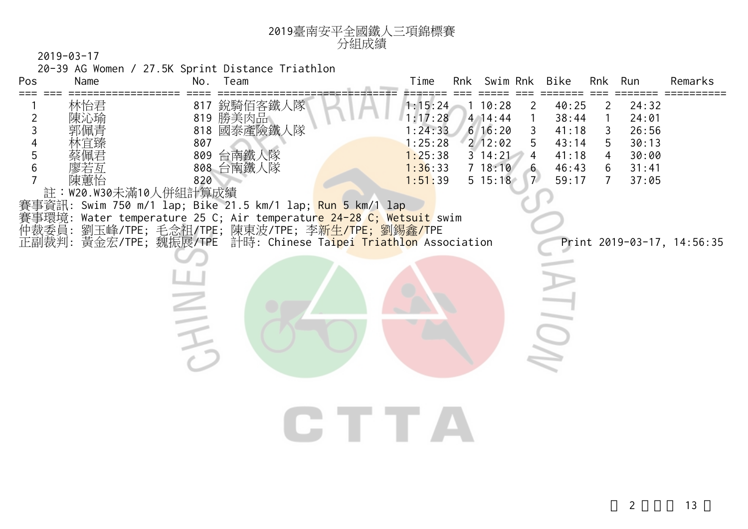

20-39 AG Women / 27.5K Sprint Distance Triathlon

| Pos<br>$==$ | Name                                      | Team<br>No.                                                                                                                                                                                                                                                                                                         | Time                                                                      | Rnk Swim Rnk                                                                                  |                                                 | Bike                                                        |                                                                      | Rnk Run                                                     | Remarks                    |
|-------------|-------------------------------------------|---------------------------------------------------------------------------------------------------------------------------------------------------------------------------------------------------------------------------------------------------------------------------------------------------------------------|---------------------------------------------------------------------------|-----------------------------------------------------------------------------------------------|-------------------------------------------------|-------------------------------------------------------------|----------------------------------------------------------------------|-------------------------------------------------------------|----------------------------|
| 2<br>3<br>5 | 林怡君<br>陳沁瑜<br>陳蕙怡<br>註:W20.W30未滿10人併組計算成績 | 817 銳騎佰客鐵人隊<br>819 勝美肉品<br>818 國泰產險鐵人隊<br>807<br>809 台南鐵人隊<br>808 台南鐵人隊<br>820<br>賽事資訊: Swim 750 m/1 lap; Bike 21.5 km/1 lap; <mark>Run 5 k</mark> m/1 lap<br>賽事環境: Water temperature 25 C; Air temperatur <mark>e 24-28 C; Wetsuit</mark> swim<br>仲裁委員: 劉玉峰/TPE; 毛念祖/TPE; 陳東波/TPE; 李 <mark>新生/TPE; 劉錫鑫/T</mark> PE | 1:15:24<br>1:17:28<br>1:24:33<br>1:25:28<br>1:25:38<br>1:36:33<br>1:51:39 | 110:28<br>$4 \overline{14}:44$<br>616:20<br>$2$ 12:02<br>$3 \t14:21$<br>7 18:10<br>$5\;15:18$ | 2<br>3<br>5<br>$\overline{4}$<br>7 <sup>7</sup> | 40:25<br>38:44<br>41:18<br>43:14<br>41:18<br>46:43<br>59:17 | $\mathbf{2}$<br>1<br>3<br>5<br>$\overline{4}$<br>6<br>$\overline{7}$ | 24:32<br>24:01<br>26:56<br>30:13<br>30:00<br>31:41<br>37:05 |                            |
|             |                                           | 正副裁判: 黃金宏/TPE; 魏振展/TPE 計時: Chinese Taipei Triathlon Association                                                                                                                                                                                                                                                     |                                                                           |                                                                                               |                                                 |                                                             |                                                                      |                                                             | Print 2019-03-17, 14:56:35 |
|             |                                           |                                                                                                                                                                                                                                                                                                                     | TE TE                                                                     |                                                                                               |                                                 |                                                             |                                                                      |                                                             |                            |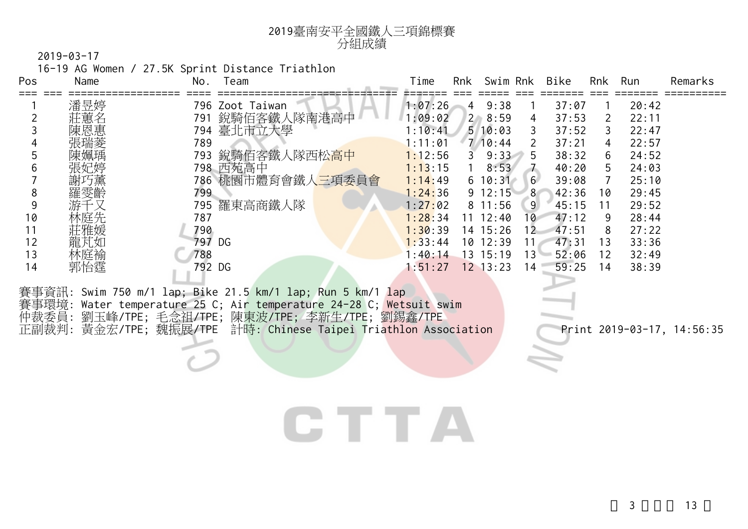| 2019臺南安平全國鐵人三項錦標賽 |
|-------------------|
| 分組成績              |

16-19 AG Women / 27.5K Sprint Distance Triathlon

| Pos | Name | No.    | Team                                                       | Time                   | Rnk            | Swim Rnk     |        | <b>Bike</b> | Rnk | Run   | Remarks |
|-----|------|--------|------------------------------------------------------------|------------------------|----------------|--------------|--------|-------------|-----|-------|---------|
|     | 潘昱婷  |        | 796 Zoot Taiwan                                            | 1:07:26                | $\overline{4}$ | 9:38         |        | 37:07       |     | 20:42 |         |
|     | 莊蕙名  | 791    | 銳騎佰客鐵人隊南港高中                                                | 1:09:02                |                | $2 \, 8:59$  | 4      | 37:53       | 2   | 22:11 |         |
|     | 陳恩惠  | 794    | 臺北市立大學                                                     | :10:41                 |                | 510:03       | 3      | 37:52       | 3.  | 22:47 |         |
|     | 張瑞菱  | 789    |                                                            | : 11:01                |                | $7 \ 10:44$  | 2      | 37:21       | 4   | 22:57 |         |
|     | 陳姵瑀  | 793    | 鋭騎佰客鐵人隊西松高中                                                | 1:12:56                | 3              | 9:33         | 5      | 38:32       | 6   | 24:52 |         |
|     | 張妃婷  |        | 798 西苑高中                                                   | 1:13:15                |                | 8:53         |        | 40:20       | 5.  | 24:03 |         |
|     | 謝巧薰  |        | 786 桃園市體育會鐵人三項委員會                                          | 1:14:49                |                | $6\;10:31$   | 6      | 39:08       |     | 25:10 |         |
| 8   | 羅雯齡  | 799    |                                                            | 1:24:36                |                | $9 \t12:15$  | 8      | 42:36       | 10  | 29:45 |         |
|     | 游千又  | 795    | 羅東高商鐵人隊                                                    | 1:2 <mark>7:</mark> 02 |                | $8 \t11:56$  | 9      | 45:15       | 11  | 29:52 |         |
| 10  | 林庭先  | 787    |                                                            | 1:28:34                |                | $11 \t12:40$ | $10 -$ | 47:12       | 9   | 28:44 |         |
| 11  | 莊雅媛  | 790    |                                                            | 1:30:39                |                | 14 15:26     | 12     | 47:51       | 8   | 27:22 |         |
| 12  | 龍芃如  | 797 DG |                                                            | 1:33:44                |                | 10 12:39     | 11.    | 47:31       | 13  | 33:36 |         |
| 13  | 林庭褕  | 788    |                                                            | 1:40:14                |                | 13 15:19     | 13'    | 52:06       | 12  | 32:49 |         |
| 14  |      | 792 DG |                                                            | 1:51:27                |                | $12$ $13:23$ | 14     | 59:25       | 14  | 38:39 |         |
|     | 郭怡霆  |        | 賽事資訊: Swim 750 m/1 lap; Bike 21.5 km/1 lap; Run 5 km/1 lap |                        |                |              |        |             |     |       |         |

賽事環境: Water temperature 25 C; Air temperature 24-28 C; <mark>Wetsuit swim</mark> 仲裁委員: 劉玉峰/TPE; 毛念祖/TPE; 陳東波/TPE; 李新生/TPE; 劉錫鑫/TPE 正副裁判: 黃金宏/TPE; 魏振展/TPE 計時: Chinese Taipei Triathlon Association Print 2019-03-17, 14:56:35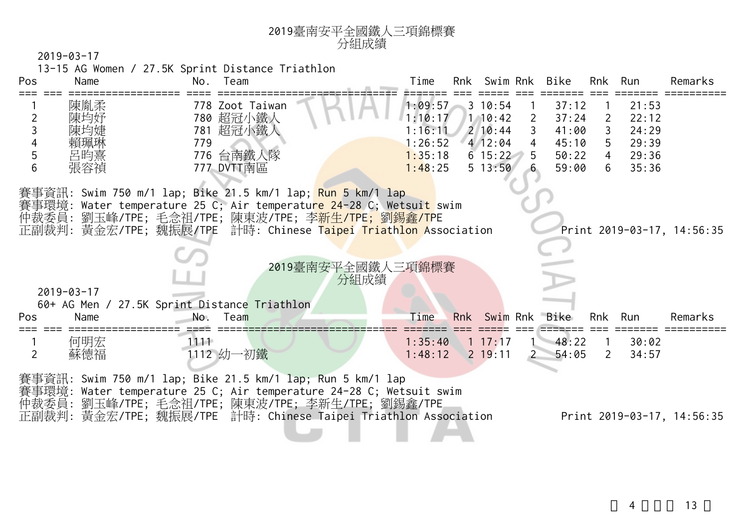| Pos                 | Name             | Team<br>No.                                                                                                                                                                                                                                                                            | Time<br>Rnk Swim Rnk<br>Bike<br>Rnk Run<br>Remarks                                                                                     |
|---------------------|------------------|----------------------------------------------------------------------------------------------------------------------------------------------------------------------------------------------------------------------------------------------------------------------------------------|----------------------------------------------------------------------------------------------------------------------------------------|
|                     | 陳胤柔              | 778 Zoot Taiwan                                                                                                                                                                                                                                                                        | $3 \t10:54$<br>37:12<br>21:53<br>1:09:57                                                                                               |
| $\overline{2}$<br>3 | 陳均妤<br>陳均婕       | 780 超冠小鐵人<br>781 超冠小鐵人                                                                                                                                                                                                                                                                 | 1:10:17<br>$1 \ 10:42$<br>37:24<br>22:12<br>$\mathbf{2}$<br>$\overline{2}$<br>1:16:11<br>$2 \ 10:44$<br>$\mathbf{3}$<br>41:00<br>24:29 |
| 4                   | 賴珮琳              | 779                                                                                                                                                                                                                                                                                    | $5\overline{)}$<br>412:04<br>29:39<br>1:26:52<br>45:10<br>$4\overline{ }$                                                              |
| 5                   | 呂昀熹              | 776 台南鐵人隊                                                                                                                                                                                                                                                                              | $6\;15:22\;5$<br>50:22<br>4 29:36<br>1:35:18                                                                                           |
| 6                   | 張容禎              | 777 DVTT南區                                                                                                                                                                                                                                                                             | 35:36<br>6<br>1:48:25<br>$5 \t13:50$<br>59:00                                                                                          |
|                     |                  | 賽事資訊: Swim 750 m/1 lap; Bike 21.5 km/1 lap; <mark>Run 5 k</mark> m/1 lap<br>賽事環境: Water temperature 25 C; Air temperatu <mark>re 24-28 C; Wetsuit s</mark> wim<br>仲裁委員: 劉玉峰/TPE; 毛念祖/TPE; 陳東波/TPE; 李新生/TPE; 劉錫鑫/TPE<br>正副裁判: 黃金宏/TPE; 魏振展/TPE 計時: Chinese Taipei Triathlon Association | Print 2019-03-17, 14:56:35                                                                                                             |
|                     |                  |                                                                                                                                                                                                                                                                                        | 2019臺南安平全國鐵人三項錦標賽<br>分組成績                                                                                                              |
|                     | $2019 - 03 - 17$ |                                                                                                                                                                                                                                                                                        |                                                                                                                                        |
| Pos                 | Name             | 60+ AG Men / 27.5K Sprint Distance Triathlon<br>Team<br>No.                                                                                                                                                                                                                            | Time<br>Rnk Swim Rnk Bike<br>Rnk Run<br>Remarks                                                                                        |
| $\overline{2}$      | 何明宏<br>蘇德福       | $1111 -$<br>1112 幼一初鐵                                                                                                                                                                                                                                                                  | $1 \t17:17$<br>$-48:22$<br>1:35:40<br>30:02<br>$\overline{\phantom{0}}$<br>$2$ 19:11<br>54:05<br>1:48:12<br>2<br>34:57                 |

正副裁判: 黃金宏/TPE; 魏振展/TPE 計時: Chinese Taipei Triathlon Association Print 2019-03-17, 14:56:35

<sup>2019</sup>臺南安平全國鐵人三項錦標賽

4 ,共 13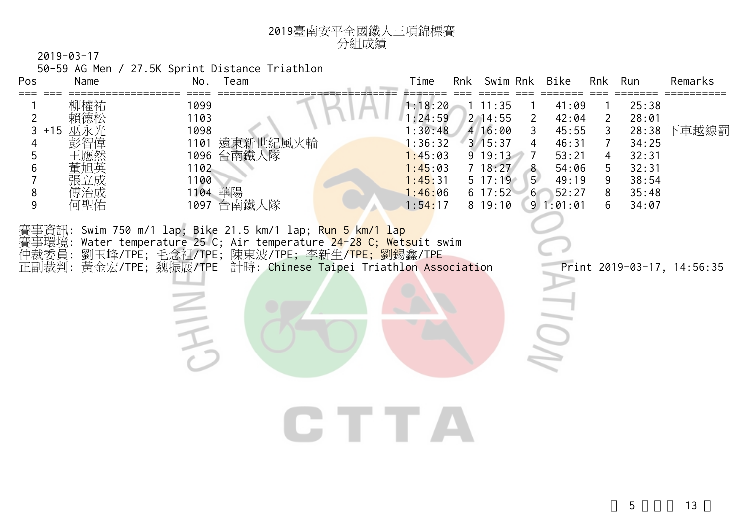

50-59 AG Men / 27.5K Sprint Distance Triathlon

| Pos                                        | Name                                   | No.                                             | Team                                                                                                                                                                                                                                                                                   | Time                                                                                            | Rnk | Swim Rnk                                                                                                  |                                                    | Bike                                                                             | Rnk                                                          | Run                                                                           | Remarks                    |
|--------------------------------------------|----------------------------------------|-------------------------------------------------|----------------------------------------------------------------------------------------------------------------------------------------------------------------------------------------------------------------------------------------------------------------------------------------|-------------------------------------------------------------------------------------------------|-----|-----------------------------------------------------------------------------------------------------------|----------------------------------------------------|----------------------------------------------------------------------------------|--------------------------------------------------------------|-------------------------------------------------------------------------------|----------------------------|
| ===<br>2<br>3<br>$+15$<br>5<br>6<br>8<br>9 | 柳權祐<br>賴德松<br>巫永光<br>張立成<br>傅治成<br>何聖佑 | 1099<br>1103<br>1098<br>1102<br>1100<br>1104 華陽 | 1101 遠東新世紀風火輪<br>1096 台南鐵人隊<br>1097 台南鐵人隊                                                                                                                                                                                                                                              | 1:18:20<br>1:24:59<br>1:30:48<br>1:36:32<br>1:45:03<br>1:45:03<br>1:45:31<br>1:46:06<br>1:54:17 |     | 11:35<br>$2$ 14:55<br>4 16:00<br>3/15:37<br>9 19:13<br>7 18:27<br>$5 \t17:19$<br>$6\;17:52\;6$<br>8 19:10 | $\mathbf{2}$<br>3<br>4<br>7<br>8<br>5 <sup>1</sup> | 41:09<br>42:04<br>45:55<br>46:31<br>53:21<br>54:06<br>49:19<br>52:27<br>91:01:01 | $\overline{2}$<br>$\mathsf{3}$<br>7<br>4<br>5<br>9<br>8<br>6 | 25:38<br>28:01<br>28:38<br>34:25<br>32:31<br>32:31<br>38:54<br>35:48<br>34:07 | 下車越線罰                      |
|                                            |                                        |                                                 | 賽事資訊: Swim 750 m/1 lap; Bike 21.5 km/1 lap; Run 5 km/1 lap<br>賽事環境: Water temperature 25 C; Air temperature <mark>24-28 C; Wetsu</mark> it swim<br>仲裁委員: 劉玉峰/TPE; 毛念祖/TPE; 陳東波/TPE; 李新生/ <mark>TPE; 劉</mark> 錫鑫/TPE<br>正副裁判: 黃金宏/TPE; 魏振展/TPE 計時: Chinese Taipei Triathlon Association |                                                                                                 |     |                                                                                                           |                                                    |                                                                                  |                                                              |                                                                               | Print 2019-03-17, 14:56:35 |
|                                            |                                        |                                                 |                                                                                                                                                                                                                                                                                        |                                                                                                 |     |                                                                                                           |                                                    |                                                                                  |                                                              |                                                                               |                            |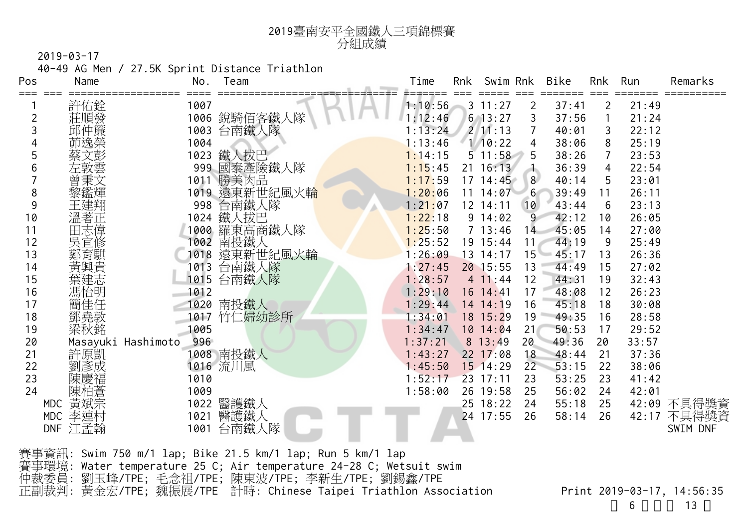

40-49 AG Men / 27.5K Sprint Distance Triathlon

| Pos | Name               | No.  | Team          | Time    | Rnk | Swim Rnk     |                 | Bike  | Rnk | Run   | Remarks  |
|-----|--------------------|------|---------------|---------|-----|--------------|-----------------|-------|-----|-------|----------|
| === | 許佑銓                | 1007 |               | 1:10:56 |     | $3 \t11:27$  | 2               | 37:41 | 2   | 21:49 |          |
| 2   | 莊順發                | 1006 | 銳騎佰客鐵人隊       | 1:12:46 |     | $6$ 13:27    | 3               | 37:56 |     | 21:24 |          |
| 3   | 邱仲簾                | 1003 | 台南鐵人隊         | 1:13:24 |     | $2 \ 11:13$  | 7               | 40:01 | 3   | 22:12 |          |
|     | 茆逸榮                | 1004 |               | 1:13:46 |     | 1/10:22      | 4               | 38:06 | 8   | 25:19 |          |
| 5   | 文彭                 | 1023 | 鐵人拔巴          | 1:14:15 |     | $5 \t11:58$  |                 | 38:26 | 7   | 23:53 |          |
| 6   | 左敦雲                | 999  | 國泰產險鐵人隊       | 1:15:45 |     | $21 \t16:13$ | المنازل         | 36:39 | 4   | 22:54 |          |
|     | 曾秉文                | 1011 | 勝美肉品          | 1:17:59 |     | $17 \t14:45$ | 8               | 40:14 | 5   | 23:01 |          |
| 8   | 黎鑑輝                |      | 1019 遠東新世紀風火輪 | 1:20:06 | 11  | 14:07        | 6               | 39:49 | 11  | 26:11 |          |
| 9   | 王建翔                | 998  | 台南鐵人隊         | 1:21:07 |     | 12 14:11     | 10              | 43:44 | 6   | 23:13 |          |
| 10  | 溫著正                | 1024 | 鐵人拔巴          | 1:22:18 |     | 9 14:02      | 9               | 42:12 | 10  | 26:05 |          |
| 11  | 田志偉                | 1000 | 羅東高商鐵人隊       | 1:25:50 |     | 7 13:46      | 14              | 45:05 | 14  | 27:00 |          |
| 12  | 吳宜修                | 1002 | 南投鐵人          | 1:25:52 |     | 19 15:44     | 11 <sub>1</sub> | 44:19 | 9   | 25:49 |          |
| 13  | 鄭育騏                | 1018 | 遠東新世紀風火輪      | 1:26:09 | 13  | 14:17        | $15 -$          | 45:17 | 13  | 26:36 |          |
| 14  | 黃興貴                | 1013 | 台南鐵人隊         | 1:27:45 |     | 20 15:55     | 13              | 44:49 | 15  | 27:02 |          |
| 15  | 葉建志                | 1015 | 台南鐵人隊         | 1:28:57 |     | 411:44       | 12              | 44:31 | 19  | 32:43 |          |
| 16  | 馮怡明                | 1012 |               | 1:29:10 |     | $16$ $14:41$ | 17              | 48:08 | 12  | 26:23 |          |
| 17  | 簡佳任                | 1020 | 南投鐵人          | 1:29:44 |     | 14 14:19     | 16              | 45:18 | 18  | 30:08 |          |
| 18  | 鄧堯敦                | 1017 | 竹仁婦幼診所        | 1:34:01 |     | 18 15:29     | 19              | 49:35 | 16  | 28:58 |          |
| 19  | 梁秋銘                | 1005 |               | 1:34:47 |     | $10 \t14:04$ | 21              | 50:53 | 17  | 29:52 |          |
| 20  | Masayuki Hashimoto | 996  |               | 1:37:21 |     | 8 13:49      | 20              | 49:36 | 20  | 33:57 |          |
| 21  | 許原凱                |      | 1008 南投鐵人     | 1:43:27 |     | $22$ 17:08   | 18              | 48:44 | 21  | 37:36 |          |
| 22  | 劉彥成                |      | 1016 流川風      | 1:45:50 |     | 15 14:29     | 22              | 53:15 | 22  | 38:06 |          |
| 23  | 陳慶福                | 1010 |               | 1:52:17 |     | 23 17:11     | 23              | 53:25 | 23  | 41:42 |          |
| 24  | 陳柏蒼                | 1009 |               | 1:58:00 |     | 26 19:58     | 25              | 56:02 | 24  | 42:01 |          |
|     | 黃斌宗<br>MDC         | 1022 | 醫護鐵人          |         |     | 25 18:22     | 24              | 55:18 | 25  | 42:09 | 不具得獎資    |
|     | 李連村<br><b>MDC</b>  | 1021 | 醫護鐵人          |         |     | 24 17:55     | 26              | 58:14 | 26  | 42:17 | 不具得獎資    |
|     | 江孟翰<br><b>DNF</b>  | 1001 | 台南鐵人隊         |         |     |              |                 |       |     |       | SWIM DNF |
|     |                    |      |               |         |     |              |                 |       |     |       |          |

賽事資訊: Swim 750 m/1 lap; Bike 21.5 km/1 lap; Run 5 km/1 lap 賽事環境: Water temperature 25 C; Air temperature 24-28 C; Wetsuit swim 仲裁委員: 劉玉峰/TPE; 毛念祖/TPE; 陳東波/TPE; 李新生/TPE; 劉錫鑫/TPE 正副裁判: 黃金宏/TPE; 魏振展/TPE 計時: Chinese Taipei Triathlon Association Print 2019-03-17, 14:56:35

6 13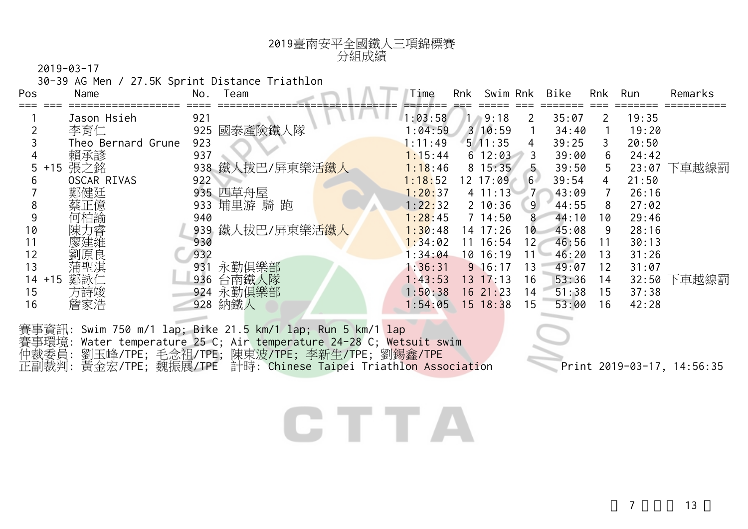| 2019臺南安平全國鐵人三項錦標賽<br>分組成績 |
|---------------------------|
|                           |

30-39 AG Men / 27.5K Sprint Distance Triathlon

| Pos       | Name               | No.<br>Team                   | Time    | Rnk | Swim Rnk           |                 | Bike  | Rnk | Run   | Remarks |
|-----------|--------------------|-------------------------------|---------|-----|--------------------|-----------------|-------|-----|-------|---------|
|           | Jason Hsieh        | 921                           | 1:03:58 |     | 9:18<br>$\sqrt{2}$ | 2               | 35:07 |     | 19:35 |         |
|           | 李育仁                | 國泰產險鐵人隊<br>925                | :04:59  |     | 310:59             |                 | 34:40 |     | 19:20 |         |
|           | Theo Bernard Grune | 923                           | : 11:49 |     | 5/11:35            | 4               | 39:25 | 3   | 20:50 |         |
|           | 賴承諺                | 937                           | 1:15:44 |     | $6\ 12:03$         | 3               | 39:00 | 6.  | 24:42 |         |
| 5.        | 張之銘<br>$+15$       | 938 鐵人拔巴/屏東樂活 <mark>鐵人</mark> | 1:18:46 |     | 8 15:35            | -5              | 39:50 | 5.  | 23:07 | 下車越線罰   |
| h         | OSCAR RIVAS        | 922                           | 1:18:52 |     | 12 17:09           | 6               | 39:54 | 4   | 21:50 |         |
|           | 鄭健廷                | 四草舟屋<br>935                   | 1:20:37 |     | $4 \t11:13$        |                 | 43:09 |     | 26:16 |         |
| 8         | 蔡正億                | 埔里游 騎 跑<br>933                | 1:22:32 |     | $2 \t10:36$        | 9               | 44:55 | 8   | 27:02 |         |
|           | 何柏諭                | 940                           | 1:28:45 |     | $7 \t14:50$        | 8               | 44:10 | 10  | 29:46 |         |
| 10        | 陳力睿                | 939 鐵人拔巴/屏東樂活 <mark>鐵人</mark> | 1:30:48 |     | $14$ 17:26         | 10              | 45:08 | 9   | 28:16 |         |
|           | 廖建維                | 930                           | 1:34:02 |     | $11 \t16:54$       | 12 <sub>1</sub> | 46:56 | 11  | 30:13 |         |
| 12        | 劉原良                | 932                           | 1:34:04 |     | 10 16:19           | 11              | 46:20 | 13  | 31:26 |         |
| 13        | 蒲聖淇                | 永勤俱樂部<br>931                  | 1:36:31 |     | $9 \t16:17$        | 13              | 49:07 | 12  | 31:07 |         |
| $14 + 15$ | 鄭詠仁                | 台南鐵人隊<br>936                  | 1:43:53 |     | $13 \t17:13$       | 16              | 53:36 | 14  | 32:50 | 下車越線罰   |
| 15        | 方詩竣                | 永勤俱樂部<br>924                  | 1:50:38 |     | 1621:23            | 14              | 51:38 | 15  | 37:38 |         |
| 16        | 詹家浩                | 納鐵人<br>928                    | 1:54:05 |     | $15 \t18:38$       | 15              | 53:00 | 16  | 42:28 |         |
|           |                    |                               |         |     |                    |                 |       |     |       |         |

賽事資訊: Swim 750 m/1 lap; Bike 21.5 km/1 lap; Run 5 km/1 lap 賽事環境: Water temperature 25 C; Air temperature 24-28 C; Wetsuit swim 仲裁委員: 劉玉峰/TPE; 毛念祖/TPE; 陳東波/TPE; 李新生/TPE; 劉錫鑫/TPE 正副裁判: 黃金宏/TPE; 魏振展/TPE 計時: Chinese Taipei Triathlon Association Print 2019-03-17, 14:56:35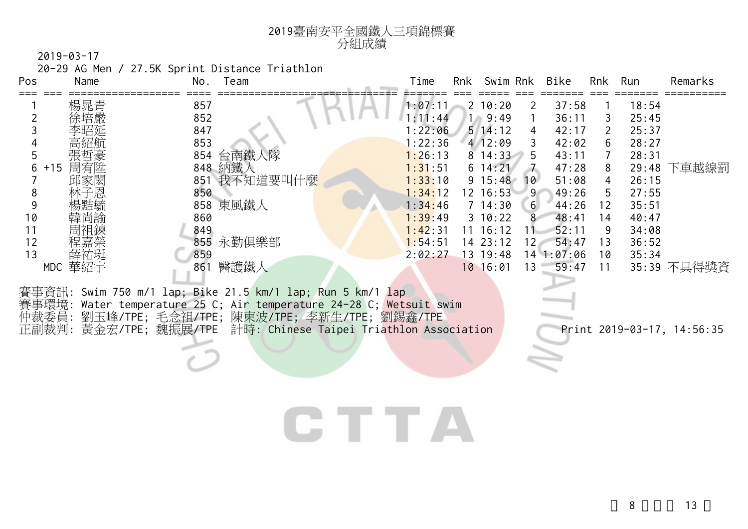| 2019臺南安平全國鐵人三項錦標賽 |
|-------------------|
| 分組成績              |

20-29 AG Men / 27.5K Sprint Distance Triathlon

| Pos | Name         | No.<br>Team                                                                                                                       | Time    | Rnk | Swim Rnk         |                  | Bike       | Rnk | Run   | Remarks     |
|-----|--------------|-----------------------------------------------------------------------------------------------------------------------------------|---------|-----|------------------|------------------|------------|-----|-------|-------------|
|     | 楊晁青          | 857                                                                                                                               | 1:07:11 |     | $2\;10:20$       | 2                | 37:58      |     | 18:54 |             |
|     | 徐培嚴          | 852                                                                                                                               | : 11:44 |     | $1 \quad 9:49$   |                  | 36:11      | 3   | 25:45 |             |
|     |              | 847                                                                                                                               | :22:06  |     | $5 \; 14:12$     | 4                | 42:17      | 2   | 25:37 |             |
|     |              | 853                                                                                                                               | : 22:36 |     | 4 12:09          | 3                | 42:02      | 6   | 28:27 |             |
|     | 張哲豪          | 台南鐵人隊<br>854                                                                                                                      | 1:26:13 |     | $8^{\circ}14:33$ | .5               | 43:11      |     | 28:31 |             |
| 6   | 周宥陞<br>$+15$ | 848 納鐵人                                                                                                                           | 1:31:51 |     | $6\;14:21$       |                  | 47:28      | 8   | 29:48 | 下車越線罰       |
|     | 邱家閎          | 851 我不知道要叫什麼                                                                                                                      | 1:33:10 |     | $9 \t15:48$      | 10               | 51:08      | 4   | 26:15 |             |
| 8   | 林子恩          | 850                                                                                                                               | 1:34:12 |     | 12 16:53         | -9               | 49:26      | 5.  | 27:55 |             |
| 9   | 楊黠毓          | 858 東風鐵人                                                                                                                          | 1:34:46 |     | $7 \t14:30$      | $6 \overline{6}$ | 44:26      | 12  | 35:51 |             |
| 10  | 韓尚諭          | 860                                                                                                                               | 1:39:49 |     | $3 \t10:22$      | 8                | 48:41      | 14  | 40:47 |             |
| 11  | 周祖鍊          | 849                                                                                                                               | 1:42:31 |     | $11 \t16:12$     |                  | 52:11      | 9   | 34:08 |             |
| 12  | 程嘉榮          | 永勤俱樂部<br>855                                                                                                                      | 1:54:51 |     | 1423:12          | 12 <sub>1</sub>  | 54:47      | 13  | 36:52 |             |
| 13  | 薛祐珽          | 859                                                                                                                               | 2:02:27 |     | 13 19:48         |                  | 14 1:07:06 | 10  | 35:34 |             |
|     | 華紹宇<br>MDC   | 醫護鐵人<br>861                                                                                                                       |         |     | 10 16:01         | 13               | 59:47      | 11  |       | 35:39 不具得獎資 |
|     |              | 賽事資訊: Swim 750 m/1 lap; Bike 21.5 km/1 lap; Run 5 km/1 lap<br>賽事環境: Water temperature 25 C; Air temperature 24-28 C; Wetsuit swim |         |     |                  |                  |            |     |       |             |

仲裁委員: 劉玉峰/TPE; 毛念祖/TPE; 陳東波/TPE; 李新生/TPE; 劉錫鑫/TPE 正副裁判: 黃金宏/TPE; 魏振展/TPE 計時: Chinese Taipei Triathlon Association Print 2019-03-17, 14:56:35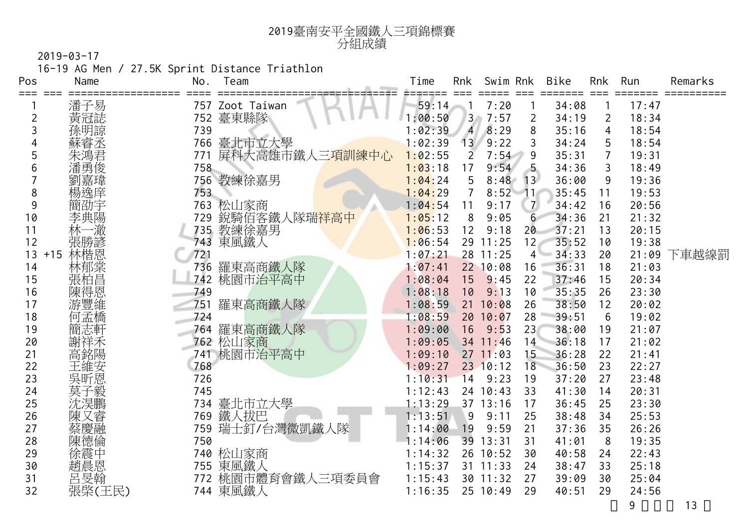

16-19 AG Men / 27.5K Sprint Distance Triathlon

| Pos | Name         | No. | Team                         | Time    | Rnk            | Swim Rnk   |                  | <b>Bike</b> | <b>Rnk</b>     | Run   | Remarks |
|-----|--------------|-----|------------------------------|---------|----------------|------------|------------------|-------------|----------------|-------|---------|
| === | 潘子易          |     | 757 Zoot Taiwan              | 59:14   |                | 7:20       |                  | 34:08       |                | 17:47 |         |
| 2   | 黃冠誌          | 752 | 臺東縣隊                         | 1:00:50 | 3 <sup>2</sup> | 7:57       | 2                | 34:19       | $\overline{2}$ | 18:34 |         |
| 3   | 孫明諒          | 739 |                              | 1:02:39 | $\overline{4}$ | 8:29       | 8                | 35:16       | 4              | 18:54 |         |
|     | 蘇睿丞          | 766 | 臺北市立大學                       | 1:02:39 | 13             | 9:22       | 3                | 34:24       | 5              | 18:54 |         |
| 5   | 朱鴻君          | 771 | 屏科大高雄市鐵人三 <mark>項訓練中心</mark> | 1:02:55 | $\overline{2}$ | 7:54       | 9                | 35:31       | $\overline{7}$ | 19:31 |         |
| 6   | 潘勇俊          | 758 |                              | 1:03:18 | 17             | 9:54       |                  | 34:36       | 3              | 18:49 |         |
|     | 劉嘉瑋          |     | 756 教練徐嘉男                    | 1:04:24 | 5              | 8:48       | 13               | 36:00       | 9              | 19:36 |         |
| 8   | 楊逸庠          | 753 |                              | 1:04:29 | $\overline{7}$ | 8:52       | 11 <sup>′</sup>  | 35:45       | 11             | 19:53 |         |
| 9   | 簡劭宇          | 763 | 松山家商                         | 1:04:54 | 11             | 9:17       | $\overline{7}$   | 34:42       | 16             | 20:56 |         |
| 10  | 李典陽          | 729 | 銳騎佰客鐵人隊瑞 <mark>祥高中</mark>    | 1:05:12 | 8              | 9:05       | $6 \overline{6}$ | 34:36       | 21             | 21:32 |         |
| 11  | 林一澈          | 735 | 教練徐嘉男                        | 1:06:53 | 12             | 9:18       | 20               | 37:21       | 13             | 20:15 |         |
| 12  | 張勝諺          |     | 743 東風鐵人                     | 1:06:54 |                | 29 11:25   | 12               | 35:52       | 10             | 19:38 |         |
| 13  | 林楷恩<br>$+15$ | 721 |                              | 1:07:21 |                | 28 11:25   |                  | $4 - 34:33$ | 20             | 21:09 | 下車越線罰   |
| 14  | 林郁棠          | 736 | 羅東高商鐵人隊                      | 1:07:41 |                | 22 10:08   | 16               | 36:31       | 18             | 21:03 |         |
| 15  | ·張柏昌恩        | 742 | 桃園市治平高中                      | 1:08:04 | 15             | 9:45       | 22               | 37:46       | 15             | 20:34 |         |
| 16  |              | 749 |                              | 1:08:18 | 10             | 9:13       | 10               | 35:35       | 26             | 23:30 |         |
| 17  | 游豐維          | 751 | 羅東高商鐵人隊                      | 1:08:59 |                | 21 10:08   | 26               | 38:50       | 12             | 20:02 |         |
| 18  | 何孟橋          | 724 |                              | 1:08:59 |                | 20 10:07   | 28               | 39:51       | 6              | 19:02 |         |
| 19  | 簡志軒          | 764 | 羅東高商鐵人隊                      | 1:09:00 | 16             | 9:53       | 23               | 38:00       | 19             | 21:07 |         |
| 20  | 謝祥禾          |     | 762 松山家商                     | 1:09:05 |                | 34 11:46   | 14               | 36:18       | 17             | 21:02 |         |
| 21  | 高銘陽          | 741 | 桃園市治平高中                      | 1:09:10 |                | $27$ 11:03 | 15               | 36:28       | 22             | 21:41 |         |
| 22  | 王維安          | 768 |                              | 1:09:27 |                | 23 10:12   | 18               | 36:50       | 23             | 22:27 |         |
| 23  | 吳昕恩          | 726 |                              | 1:10:31 | 14             | 9:23       | 19               | 37:20       | 27             | 23:48 |         |
| 24  | 莫子毅          | 745 |                              | 1:12:43 |                | 24 10:43   | 33               | 41:30       | 14             | 20:31 |         |
| 25  | 沈淏鵬          | 734 | 臺北市立大學                       | 1:13:29 |                | 37 13:16   | 17               | 36:45       | 25             | 23:30 |         |
| 26  | 陳又睿          | 769 | 鐵人拔巴                         | 1:13:51 | 9              | 9:11       | 25               | 38:48       | 34             | 25:53 |         |
| 27  |              | 759 | 瑞士釘/台灣微凱鐵人隊                  | 1:14:00 | 19             | 9:59       | 21               | 37:36       | 35             | 26:26 |         |
| 28  | 茶慶德倫         | 750 |                              | 1:14:06 |                | 39 13:31   | 31               | 41:01       | 8              | 19:35 |         |
| 29  | 徐震中          |     | 740 松山家商                     | 1:14:32 |                | 26 10:52   | 30               | 40:58       | 24             | 22:43 |         |
| 30  | 趙晨恩          |     | 755 東風鐵人                     | 1:15:37 |                | $31$ 11:33 | 24               | 38:47       | 33             | 25:18 |         |
| 31  | 呂旻翰          | 772 | 桃園市體育會鐵人三項委員會                | 1:15:43 |                | 30 11:32   | 27               | 39:09       | 30             | 25:04 |         |
| 32  | 張棨(王民)       |     | 744 東風鐵人                     | 1:16:35 |                | 25 10:49   | 29               | 40:51       | 29             | 24:56 |         |
|     |              |     |                              |         |                |            |                  |             |                | 9     | 13      |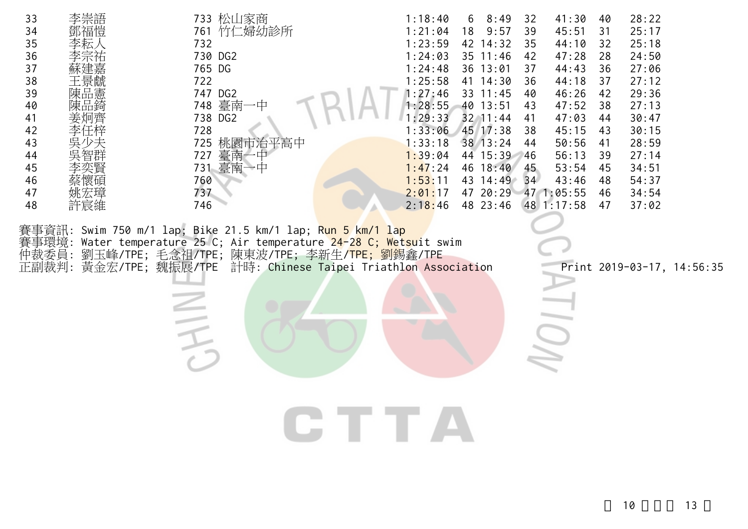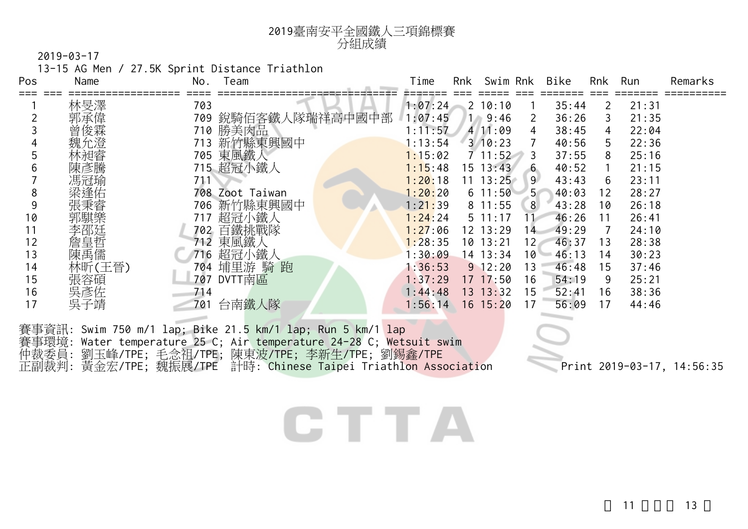| 2019臺南安平全國鐵人三項錦標賽 |
|-------------------|
| 分組成績              |

13-15 AG Men / 27.5K Sprint Distance Triathlon

| Pos | Name   | No. | Team                                                       | Time                      | Rnk | Swim Rnk       |                 | Bike  | Rnk | Run   | Remarks |
|-----|--------|-----|------------------------------------------------------------|---------------------------|-----|----------------|-----------------|-------|-----|-------|---------|
|     | 林旻澤    | 703 |                                                            | 1:07:24                   |     | 2 10:10        |                 | 35:44 | 2   | 21:31 |         |
|     | 郭承偉    | 709 | 銳騎佰客鐵人隊瑞祥高中國中部                                             | 1:07:45                   |     | $1 \quad 9:46$ | 2               | 36:26 | 3   | 21:35 |         |
|     | 曾俊霖    | 710 | 勝美肉品                                                       | :11:57                    |     | 4 11:09        | 4               | 38:45 | 4   | 22:04 |         |
|     | 魏允澄    | 713 | 新竹縣東興國中                                                    | 1:13:54                   |     | $3 \t10:23$    |                 | 40:56 | 5.  | 22:36 |         |
|     | 林昶睿    | 705 | 東風鐵人                                                       | 1:15:02                   |     | 711:52         | 3               | 37:55 | 8   | 25:16 |         |
| b   | 陳彥騰    |     | 715 超冠小鐵人                                                  | 1:15:48                   |     | $15 \t13:43$   | 6               | 40:52 |     | 21:15 |         |
|     | 馮冠瑜    | 711 |                                                            | 1:20:18                   |     | $11 \t13:25$   | 9 <sup>°</sup>  | 43:43 | 6   | 23:11 |         |
| 8   | 梁逢佑    |     | 708 Zoot Taiwan                                            | 1:20:20                   |     | $6\;11:50$     | 5 <sup>7</sup>  | 40:03 | 12  | 28:27 |         |
| 9   | 張秉睿    | 706 | 新竹縣東興國中                                                    | 1 : 2 <mark>1 :</mark> 39 |     | $8$ 11:55      | 8 <sup>8</sup>  | 43:28 | 10  | 26:18 |         |
| 10  | 郭騏樂    | 717 | 超冠小鐵人                                                      | 1:24:24                   |     | $5 \t11:17$    | 11              | 46:26 | 11  | 26:41 |         |
| 11  | 李邵廷    | 702 | 百鐵挑戰隊                                                      | 1:27:06                   |     | 12 13:29       | 14              | 49:29 | 7   | 24:10 |         |
| 12  | 詹皇哲    | 712 | 東風鐵人                                                       | 1:28:35                   |     | 10 13:21       | 12 <sub>1</sub> | 46:37 | 13  | 28:38 |         |
| 13  | 陳禹儒    | 716 | 超冠小鐵人                                                      | :30:09                    |     | 14 13:34       | 10 <sup>1</sup> | 46:13 | 14  | 30:23 |         |
| 14  | 林昕(王晉) | 704 | 埔里游 騎 跑                                                    | 1:36:53                   |     | $9$ 12:20      | 13              | 46:48 | 15  | 37:46 |         |
| 15  | 張容碩    | 707 | DVTT南區                                                     | 1:37:29                   |     | $17 \t17:50$   | 16              | 54:19 | 9   | 25:21 |         |
| 16  | 吳彥佐    | 714 |                                                            | 1:44:48                   |     | 13.13:32       | 15              | 52:41 | 16  | 38:36 |         |
| 17  | 吳子靖    | 701 | 台南鐵人隊                                                      | 1:56:14                   |     | $16 \t15:20$   | 17              | 56:09 | 17  | 44:46 |         |
|     |        |     | 賽事資訊: Swim 750 m/1 lap; Bike 21.5 km/1 lap; Run 5 km/1 lap |                           |     |                |                 |       |     |       |         |

賽事環境: Water temperature 25 C; Air temperature 24-28 C; Wetsuit swim 仲裁委員: 劉玉峰/TPE; 毛念祖/TPE; 陳東波/TPE; 李新生/TPE; 劉錫鑫/TPE 正副裁判: 黃金宏/TPE; 魏振展/TPE 計時: Chinese Taipei Triathlon Association Print 2019-03-17, 14:56:35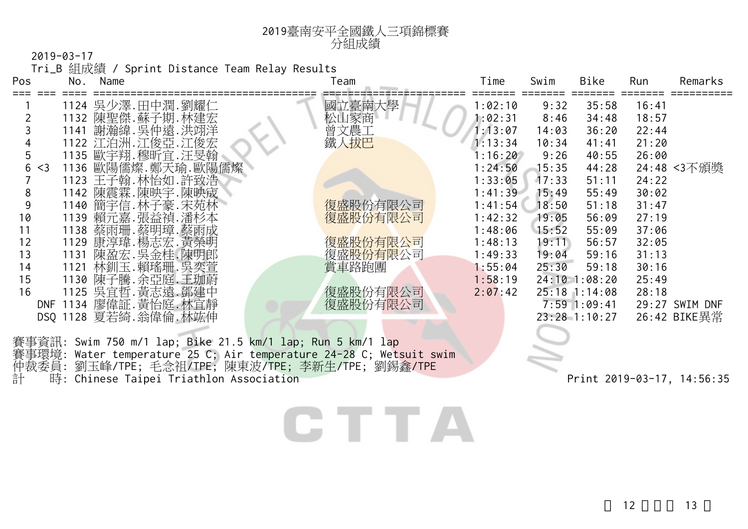| $2019 - 03 - 17$ |  |  |
|------------------|--|--|
|                  |  |  |

Tri\_B 組成績 / Sprint Distance Team Relay Results

<sup>2019</sup>臺南安平全國鐵人三項錦標賽

| Pos        | No. | Name                                                       | Team     | Time    | Swim  | Bike            | Run   | Remarks        |
|------------|-----|------------------------------------------------------------|----------|---------|-------|-----------------|-------|----------------|
|            |     | 1124 吳少澤.田中潤.劉耀仁                                           | 立臺南大學    | 1:02:10 | 9:32  | 35:58           | 16:41 |                |
|            |     | 1132 陳聖傑.蘇子期.林建宏                                           | ⊥家商      | 1:02:31 | 8:46  | 34:48           | 18:57 |                |
|            |     | 1141 謝瀚緯.吳仲遠.洪翊洋                                           | 曾文農工     | 1:13:07 | 14:03 | 36:20           | 22:44 |                |
|            |     | 1122 江泊洲. 江俊亞. 江俊宏                                         | 鐵人拔巴     | 1:13:34 | 10:34 | 41:41           | 21:20 |                |
|            |     | 1135 歐宇翔.穆昕宜.汪旻翰                                           |          | 1:16:20 | 9:26  | 40:55           | 26:00 |                |
| 6 < 3      |     | 1136 歐陽儒燦.鄭天瑜.歐陽儒燦                                         |          | 1:24:50 | 15:35 | 44:28           |       | 24:48 <3不頒獎    |
|            |     | 1123 王子翰.林怡如.許致浩                                           |          | 1:33:05 | 17:33 | 51:11           | 24:22 |                |
| 8          |     | 1142 陳震霖.陳映宇.陳映宬                                           |          | 1:41:39 | 15:49 | 55:49           | 30:02 |                |
|            |     | 1140 簡宇信. 林子豪. 宋苑林                                         | 復盛股份有限公司 | 1:41:54 | 18:50 | 51:18           | 31:47 |                |
| 10         |     | 1139 賴元嘉.張益禎.潘杉本                                           | 復盛股份有限公司 | 1:42:32 | 19:05 | 56:09           | 27:19 |                |
| 11         |     | 1138 蔡雨珊.蔡明璋.蔡雨成                                           |          | 1:48:06 | 15:52 | 55:09           | 37:06 |                |
| 12         |     | 1129 康淳瑋.楊志宏.黃榮明                                           | 復盛股份有限公司 | 1:48:13 | 19:11 | 56:57           | 32:05 |                |
| 13         |     | 1131 陳盈宏.吳金桂.陳明郎                                           | 復盛股份有限公司 | 1:49:33 | 19:04 | 59:16           | 31:13 |                |
| 14         |     | 1121 林釧玉.賴瑤珊.吳奕萱                                           | 賞車路跑團    | 1:55:04 | 25:30 | 59:18           | 30:16 |                |
| 15         |     | 1130 陳子騰.余亞庭.王珈蔚                                           |          | 1:58:19 |       | $24:10$ 1:08:20 | 25:49 |                |
| 16         |     | 1125 吳宜哲.黃志遠.鄧建中                                           | 復盛股份有限公司 | 2:07:42 |       | $25:18$ 1:14:08 | 28:18 |                |
| <b>DNF</b> |     | 1134 廖偉証. 黃怡庭. 林宜靜                                         | 復盛股份有限公司 |         |       | $7:59$ 1:09:41  |       | 29:27 SWIM DNF |
|            |     | DSQ 1128 夏若綺.翁偉倫.林竑伸                                       |          |         |       | 23:28 1:10:27   |       | 26:42 BIKE異常   |
|            |     |                                                            |          |         |       |                 |       |                |
|            |     | 賽事資訊: Swim 750 m/1 lap; Bike 21.5 km/1 lap; Run 5 km/1 lap |          |         |       |                 |       |                |

分組成績

賽事環境: Water temperature 25 C; Air temperature 24-28 C; Wetsuit swim

仲裁委員: 劉玉峰/TPE; 毛念祖/TPE; 陳東波/TPE; 李新生/TPE; 劉錫鑫/TPE

計 時: Chinese Taipei Triathlon Association Print 2019-03-17, 14:56:35